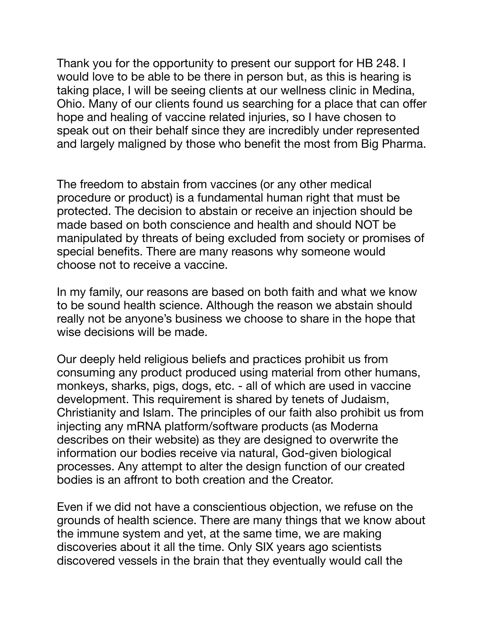Thank you for the opportunity to present our support for HB 248. I would love to be able to be there in person but, as this is hearing is taking place, I will be seeing clients at our wellness clinic in Medina, Ohio. Many of our clients found us searching for a place that can offer hope and healing of vaccine related injuries, so I have chosen to speak out on their behalf since they are incredibly under represented and largely maligned by those who benefit the most from Big Pharma.

The freedom to abstain from vaccines (or any other medical procedure or product) is a fundamental human right that must be protected. The decision to abstain or receive an injection should be made based on both conscience and health and should NOT be manipulated by threats of being excluded from society or promises of special benefits. There are many reasons why someone would choose not to receive a vaccine.

In my family, our reasons are based on both faith and what we know to be sound health science. Although the reason we abstain should really not be anyone's business we choose to share in the hope that wise decisions will be made.

Our deeply held religious beliefs and practices prohibit us from consuming any product produced using material from other humans, monkeys, sharks, pigs, dogs, etc. - all of which are used in vaccine development. This requirement is shared by tenets of Judaism, Christianity and Islam. The principles of our faith also prohibit us from injecting any mRNA platform/software products (as Moderna describes on their website) as they are designed to overwrite the information our bodies receive via natural, God-given biological processes. Any attempt to alter the design function of our created bodies is an affront to both creation and the Creator.

Even if we did not have a conscientious objection, we refuse on the grounds of health science. There are many things that we know about the immune system and yet, at the same time, we are making discoveries about it all the time. Only SIX years ago scientists discovered vessels in the brain that they eventually would call the